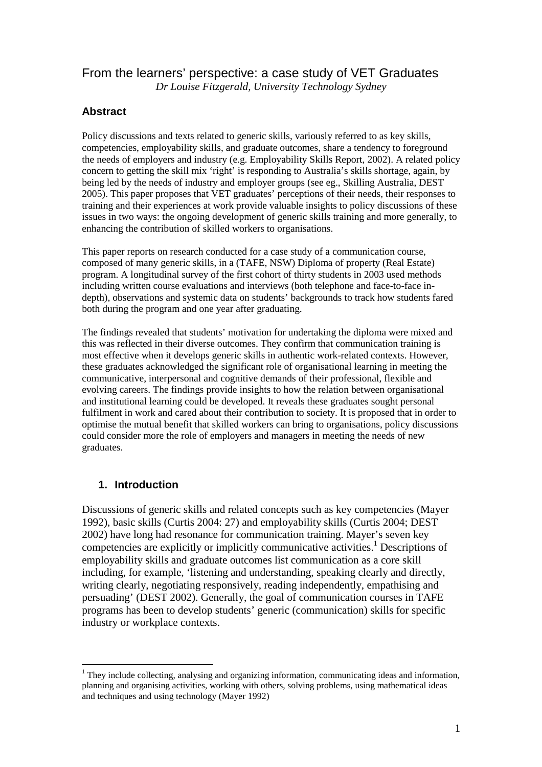# From the learners' perspective: a case study of VET Graduates

*Dr Louise Fitzgerald, University Technology Sydney* 

## **Abstract**

Policy discussions and texts related to generic skills, variously referred to as key skills, competencies, employability skills, and graduate outcomes, share a tendency to foreground the needs of employers and industry (e.g. Employability Skills Report, 2002). A related policy concern to getting the skill mix 'right' is responding to Australia's skills shortage, again, by being led by the needs of industry and employer groups (see eg., Skilling Australia, DEST 2005). This paper proposes that VET graduates' perceptions of their needs, their responses to training and their experiences at work provide valuable insights to policy discussions of these issues in two ways: the ongoing development of generic skills training and more generally, to enhancing the contribution of skilled workers to organisations.

This paper reports on research conducted for a case study of a communication course, composed of many generic skills, in a (TAFE, NSW) Diploma of property (Real Estate) program. A longitudinal survey of the first cohort of thirty students in 2003 used methods including written course evaluations and interviews (both telephone and face-to-face indepth), observations and systemic data on students' backgrounds to track how students fared both during the program and one year after graduating.

The findings revealed that students' motivation for undertaking the diploma were mixed and this was reflected in their diverse outcomes. They confirm that communication training is most effective when it develops generic skills in authentic work-related contexts. However, these graduates acknowledged the significant role of organisational learning in meeting the communicative, interpersonal and cognitive demands of their professional, flexible and evolving careers. The findings provide insights to how the relation between organisational and institutional learning could be developed. It reveals these graduates sought personal fulfilment in work and cared about their contribution to society. It is proposed that in order to optimise the mutual benefit that skilled workers can bring to organisations, policy discussions could consider more the role of employers and managers in meeting the needs of new graduates.

# **1. Introduction**

 $\overline{a}$ 

Discussions of generic skills and related concepts such as key competencies (Mayer 1992), basic skills (Curtis 2004: 27) and employability skills (Curtis 2004; DEST 2002) have long had resonance for communication training. Mayer's seven key competencies are explicitly or implicitly communicative activities.<sup>1</sup> Descriptions of employability skills and graduate outcomes list communication as a core skill including, for example, 'listening and understanding, speaking clearly and directly, writing clearly, negotiating responsively, reading independently, empathising and persuading' (DEST 2002). Generally, the goal of communication courses in TAFE programs has been to develop students' generic (communication) skills for specific industry or workplace contexts.

<sup>&</sup>lt;sup>1</sup> They include collecting, analysing and organizing information, communicating ideas and information, planning and organising activities, working with others, solving problems, using mathematical ideas and techniques and using technology (Mayer 1992)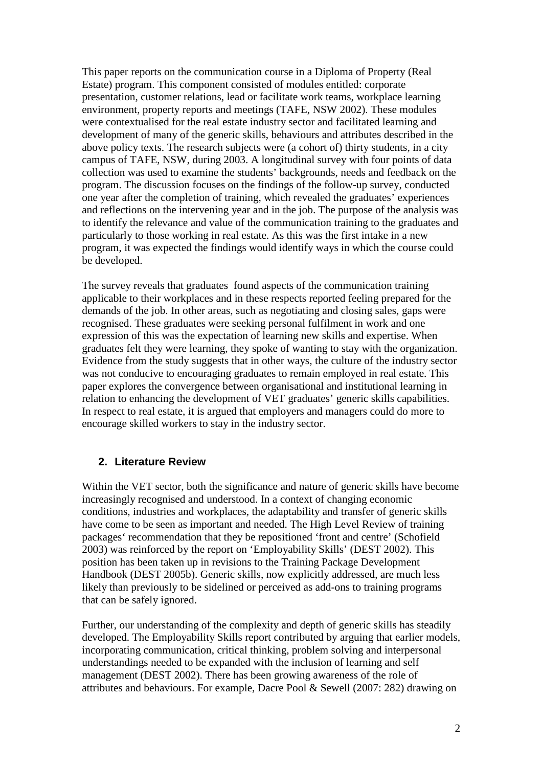This paper reports on the communication course in a Diploma of Property (Real Estate) program. This component consisted of modules entitled: corporate presentation, customer relations, lead or facilitate work teams, workplace learning environment, property reports and meetings (TAFE, NSW 2002). These modules were contextualised for the real estate industry sector and facilitated learning and development of many of the generic skills, behaviours and attributes described in the above policy texts. The research subjects were (a cohort of) thirty students, in a city campus of TAFE, NSW, during 2003. A longitudinal survey with four points of data collection was used to examine the students' backgrounds, needs and feedback on the program. The discussion focuses on the findings of the follow-up survey, conducted one year after the completion of training, which revealed the graduates' experiences and reflections on the intervening year and in the job. The purpose of the analysis was to identify the relevance and value of the communication training to the graduates and particularly to those working in real estate. As this was the first intake in a new program, it was expected the findings would identify ways in which the course could be developed.

The survey reveals that graduates found aspects of the communication training applicable to their workplaces and in these respects reported feeling prepared for the demands of the job. In other areas, such as negotiating and closing sales, gaps were recognised. These graduates were seeking personal fulfilment in work and one expression of this was the expectation of learning new skills and expertise. When graduates felt they were learning, they spoke of wanting to stay with the organization. Evidence from the study suggests that in other ways, the culture of the industry sector was not conducive to encouraging graduates to remain employed in real estate. This paper explores the convergence between organisational and institutional learning in relation to enhancing the development of VET graduates' generic skills capabilities. In respect to real estate, it is argued that employers and managers could do more to encourage skilled workers to stay in the industry sector.

# **2. Literature Review**

Within the VET sector, both the significance and nature of generic skills have become increasingly recognised and understood. In a context of changing economic conditions, industries and workplaces, the adaptability and transfer of generic skills have come to be seen as important and needed. The High Level Review of training packages' recommendation that they be repositioned 'front and centre' (Schofield 2003) was reinforced by the report on 'Employability Skills' (DEST 2002). This position has been taken up in revisions to the Training Package Development Handbook (DEST 2005b). Generic skills, now explicitly addressed, are much less likely than previously to be sidelined or perceived as add-ons to training programs that can be safely ignored.

Further, our understanding of the complexity and depth of generic skills has steadily developed. The Employability Skills report contributed by arguing that earlier models, incorporating communication, critical thinking, problem solving and interpersonal understandings needed to be expanded with the inclusion of learning and self management (DEST 2002). There has been growing awareness of the role of attributes and behaviours. For example, Dacre Pool & Sewell (2007: 282) drawing on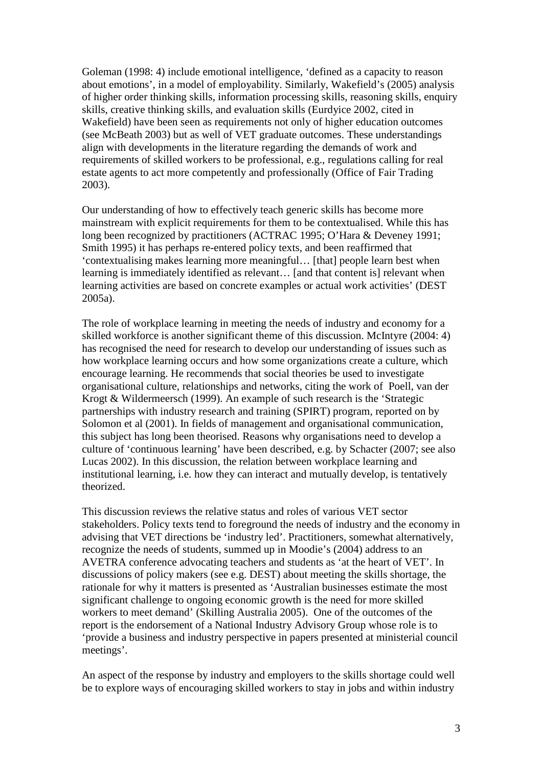Goleman (1998: 4) include emotional intelligence, 'defined as a capacity to reason about emotions', in a model of employability. Similarly, Wakefield's (2005) analysis of higher order thinking skills, information processing skills, reasoning skills, enquiry skills, creative thinking skills, and evaluation skills (Eurdyice 2002, cited in Wakefield) have been seen as requirements not only of higher education outcomes (see McBeath 2003) but as well of VET graduate outcomes. These understandings align with developments in the literature regarding the demands of work and requirements of skilled workers to be professional, e.g., regulations calling for real estate agents to act more competently and professionally (Office of Fair Trading 2003).

Our understanding of how to effectively teach generic skills has become more mainstream with explicit requirements for them to be contextualised. While this has long been recognized by practitioners (ACTRAC 1995; O'Hara & Deveney 1991; Smith 1995) it has perhaps re-entered policy texts, and been reaffirmed that 'contextualising makes learning more meaningful… [that] people learn best when learning is immediately identified as relevant… [and that content is] relevant when learning activities are based on concrete examples or actual work activities' (DEST 2005a).

The role of workplace learning in meeting the needs of industry and economy for a skilled workforce is another significant theme of this discussion. McIntyre (2004: 4) has recognised the need for research to develop our understanding of issues such as how workplace learning occurs and how some organizations create a culture, which encourage learning. He recommends that social theories be used to investigate organisational culture, relationships and networks, citing the work of Poell, van der Krogt & Wildermeersch (1999). An example of such research is the 'Strategic partnerships with industry research and training (SPIRT) program, reported on by Solomon et al (2001). In fields of management and organisational communication, this subject has long been theorised. Reasons why organisations need to develop a culture of 'continuous learning' have been described, e.g. by Schacter (2007; see also Lucas 2002). In this discussion, the relation between workplace learning and institutional learning, i.e. how they can interact and mutually develop, is tentatively theorized.

This discussion reviews the relative status and roles of various VET sector stakeholders. Policy texts tend to foreground the needs of industry and the economy in advising that VET directions be 'industry led'. Practitioners, somewhat alternatively, recognize the needs of students, summed up in Moodie's (2004) address to an AVETRA conference advocating teachers and students as 'at the heart of VET'. In discussions of policy makers (see e.g. DEST) about meeting the skills shortage, the rationale for why it matters is presented as 'Australian businesses estimate the most significant challenge to ongoing economic growth is the need for more skilled workers to meet demand' (Skilling Australia 2005). One of the outcomes of the report is the endorsement of a National Industry Advisory Group whose role is to 'provide a business and industry perspective in papers presented at ministerial council meetings'.

An aspect of the response by industry and employers to the skills shortage could well be to explore ways of encouraging skilled workers to stay in jobs and within industry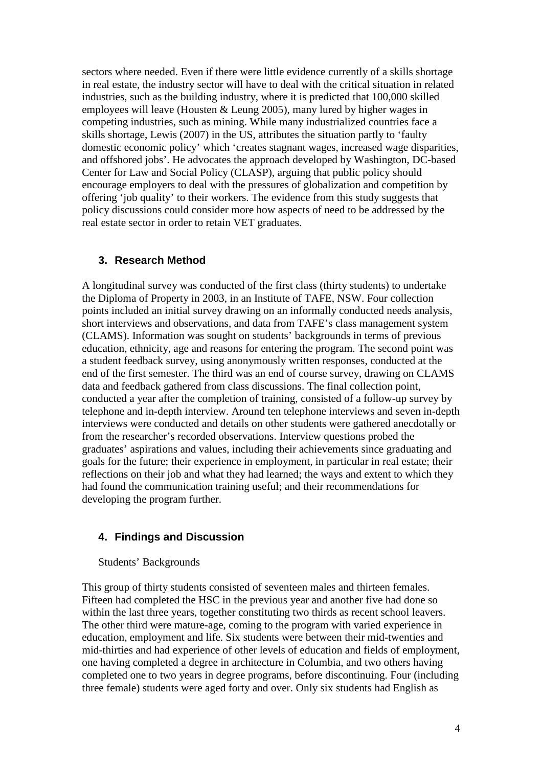sectors where needed. Even if there were little evidence currently of a skills shortage in real estate, the industry sector will have to deal with the critical situation in related industries, such as the building industry, where it is predicted that 100,000 skilled employees will leave (Housten & Leung 2005), many lured by higher wages in competing industries, such as mining. While many industrialized countries face a skills shortage, Lewis (2007) in the US, attributes the situation partly to 'faulty domestic economic policy' which 'creates stagnant wages, increased wage disparities, and offshored jobs'. He advocates the approach developed by Washington, DC-based Center for Law and Social Policy (CLASP), arguing that public policy should encourage employers to deal with the pressures of globalization and competition by offering 'job quality' to their workers. The evidence from this study suggests that policy discussions could consider more how aspects of need to be addressed by the real estate sector in order to retain VET graduates.

### **3. Research Method**

A longitudinal survey was conducted of the first class (thirty students) to undertake the Diploma of Property in 2003, in an Institute of TAFE, NSW. Four collection points included an initial survey drawing on an informally conducted needs analysis, short interviews and observations, and data from TAFE's class management system (CLAMS). Information was sought on students' backgrounds in terms of previous education, ethnicity, age and reasons for entering the program. The second point was a student feedback survey, using anonymously written responses, conducted at the end of the first semester. The third was an end of course survey, drawing on CLAMS data and feedback gathered from class discussions. The final collection point, conducted a year after the completion of training, consisted of a follow-up survey by telephone and in-depth interview. Around ten telephone interviews and seven in-depth interviews were conducted and details on other students were gathered anecdotally or from the researcher's recorded observations. Interview questions probed the graduates' aspirations and values, including their achievements since graduating and goals for the future; their experience in employment, in particular in real estate; their reflections on their job and what they had learned; the ways and extent to which they had found the communication training useful; and their recommendations for developing the program further.

### **4. Findings and Discussion**

Students' Backgrounds

This group of thirty students consisted of seventeen males and thirteen females. Fifteen had completed the HSC in the previous year and another five had done so within the last three years, together constituting two thirds as recent school leavers. The other third were mature-age, coming to the program with varied experience in education, employment and life. Six students were between their mid-twenties and mid-thirties and had experience of other levels of education and fields of employment, one having completed a degree in architecture in Columbia, and two others having completed one to two years in degree programs, before discontinuing. Four (including three female) students were aged forty and over. Only six students had English as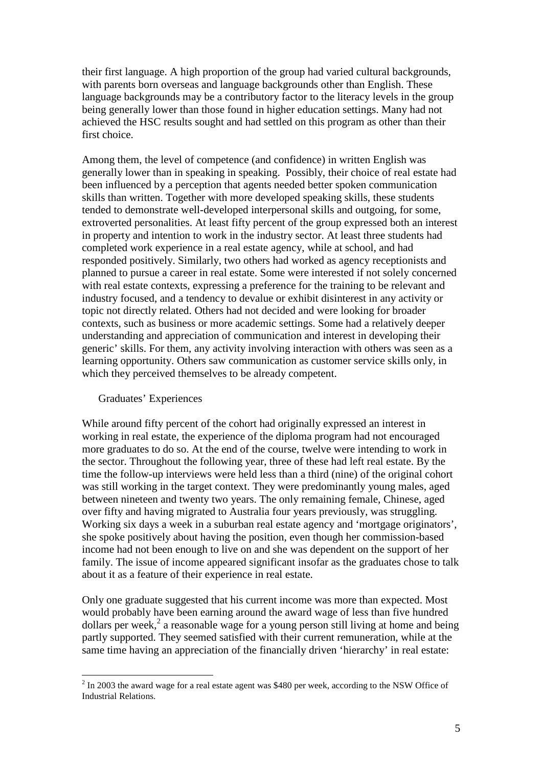their first language. A high proportion of the group had varied cultural backgrounds, with parents born overseas and language backgrounds other than English. These language backgrounds may be a contributory factor to the literacy levels in the group being generally lower than those found in higher education settings. Many had not achieved the HSC results sought and had settled on this program as other than their first choice.

Among them, the level of competence (and confidence) in written English was generally lower than in speaking in speaking. Possibly, their choice of real estate had been influenced by a perception that agents needed better spoken communication skills than written. Together with more developed speaking skills, these students tended to demonstrate well-developed interpersonal skills and outgoing, for some, extroverted personalities. At least fifty percent of the group expressed both an interest in property and intention to work in the industry sector. At least three students had completed work experience in a real estate agency, while at school, and had responded positively. Similarly, two others had worked as agency receptionists and planned to pursue a career in real estate. Some were interested if not solely concerned with real estate contexts, expressing a preference for the training to be relevant and industry focused, and a tendency to devalue or exhibit disinterest in any activity or topic not directly related. Others had not decided and were looking for broader contexts, such as business or more academic settings. Some had a relatively deeper understanding and appreciation of communication and interest in developing their generic' skills. For them, any activity involving interaction with others was seen as a learning opportunity. Others saw communication as customer service skills only, in which they perceived themselves to be already competent.

#### Graduates' Experiences

 $\overline{a}$ 

While around fifty percent of the cohort had originally expressed an interest in working in real estate, the experience of the diploma program had not encouraged more graduates to do so. At the end of the course, twelve were intending to work in the sector. Throughout the following year, three of these had left real estate. By the time the follow-up interviews were held less than a third (nine) of the original cohort was still working in the target context. They were predominantly young males, aged between nineteen and twenty two years. The only remaining female, Chinese, aged over fifty and having migrated to Australia four years previously, was struggling. Working six days a week in a suburban real estate agency and 'mortgage originators', she spoke positively about having the position, even though her commission-based income had not been enough to live on and she was dependent on the support of her family. The issue of income appeared significant insofar as the graduates chose to talk about it as a feature of their experience in real estate.

Only one graduate suggested that his current income was more than expected. Most would probably have been earning around the award wage of less than five hundred dollars per week,<sup>2</sup> a reasonable wage for a young person still living at home and being partly supported. They seemed satisfied with their current remuneration, while at the same time having an appreciation of the financially driven 'hierarchy' in real estate:

 $2$  In 2003 the award wage for a real estate agent was \$480 per week, according to the NSW Office of Industrial Relations.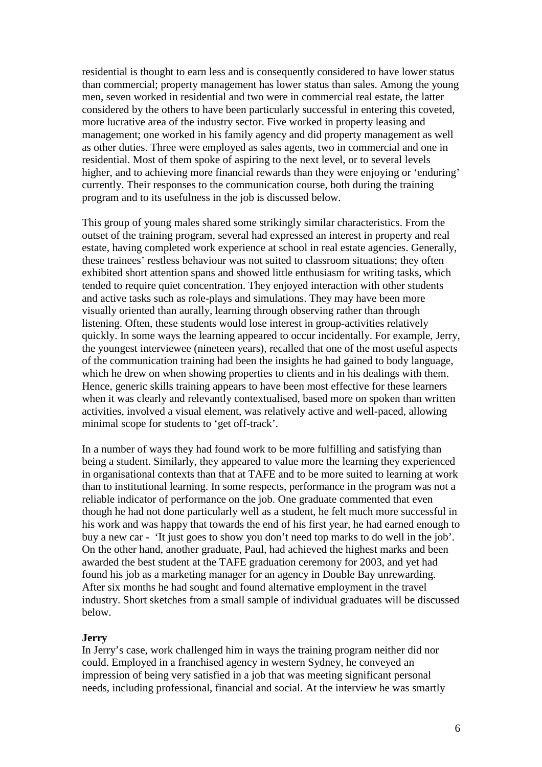residential is thought to earn less and is consequently considered to have lower status than commercial; property management has lower status than sales. Among the young men, seven worked in residential and two were in commercial real estate, the latter considered by the others to have been particularly successful in entering this coveted, more lucrative area of the industry sector. Five worked in property leasing and management; one worked in his family agency and did property management as well as other duties. Three were employed as sales agents, two in commercial and one in residential. Most of them spoke of aspiring to the next level, or to several levels higher, and to achieving more financial rewards than they were enjoying or 'enduring' currently. Their responses to the communication course, both during the training program and to its usefulness in the job is discussed below.

This group of young males shared some strikingly similar characteristics. From the outset of the training program, several had expressed an interest in property and real estate, having completed work experience at school in real estate agencies. Generally, these trainees' restless behaviour was not suited to classroom situations; they often exhibited short attention spans and showed little enthusiasm for writing tasks, which tended to require quiet concentration. They enjoyed interaction with other students and active tasks such as role-plays and simulations. They may have been more visually oriented than aurally, learning through observing rather than through listening. Often, these students would lose interest in group-activities relatively quickly. In some ways the learning appeared to occur incidentally. For example, Jerry, the youngest interviewee (nineteen years), recalled that one of the most useful aspects of the communication training had been the insights he had gained to body language, which he drew on when showing properties to clients and in his dealings with them. Hence, generic skills training appears to have been most effective for these learners when it was clearly and relevantly contextualised, based more on spoken than written activities, involved a visual element, was relatively active and well-paced, allowing minimal scope for students to 'get off-track'.

In a number of ways they had found work to be more fulfilling and satisfying than being a student. Similarly, they appeared to value more the learning they experienced in organisational contexts than that at TAFE and to be more suited to learning at work than to institutional learning. In some respects, performance in the program was not a reliable indicator of performance on the job. One graduate commented that even though he had not done particularly well as a student, he felt much more successful in his work and was happy that towards the end of his first year, he had earned enough to buy a new car - 'It just goes to show you don't need top marks to do well in the job'. On the other hand, another graduate, Paul, had achieved the highest marks and been awarded the best student at the TAFE graduation ceremony for 2003, and yet had found his job as a marketing manager for an agency in Double Bay unrewarding. After six months he had sought and found alternative employment in the travel industry. Short sketches from a small sample of individual graduates will be discussed below.

#### **Jerry**

In Jerry's case, work challenged him in ways the training program neither did nor could. Employed in a franchised agency in western Sydney, he conveyed an impression of being very satisfied in a job that was meeting significant personal needs, including professional, financial and social. At the interview he was smartly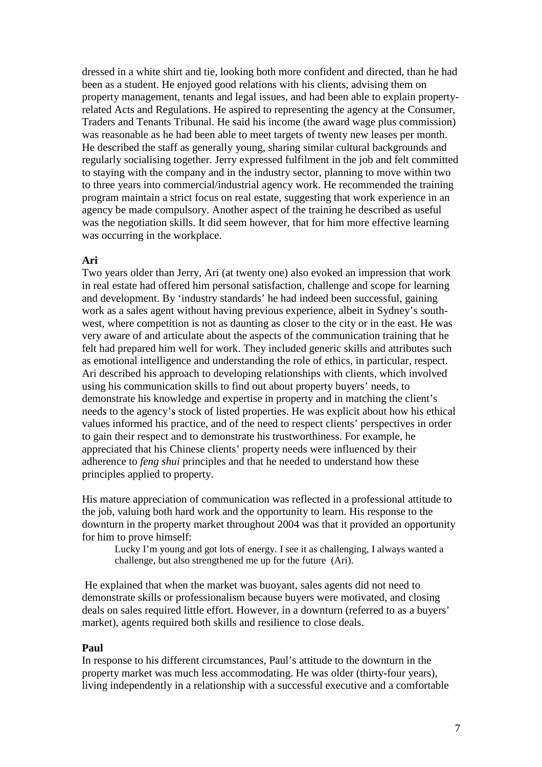dressed in a white shirt and tie, looking both more confident and directed, than he had been as a student. He enjoyed good relations with his clients, advising them on property management, tenants and legal issues, and had been able to explain propertyrelated Acts and Regulations. He aspired to representing the agency at the Consumer, Traders and Tenants Tribunal. He said his income (the award wage plus commission) was reasonable as he had been able to meet targets of twenty new leases per month. He described the staff as generally young, sharing similar cultural backgrounds and regularly socialising together. Jerry expressed fulfilment in the job and felt committed to staying with the company and in the industry sector, planning to move within two to three years into commercial/industrial agency work. He recommended the training program maintain a strict focus on real estate, suggesting that work experience in an agency be made compulsory. Another aspect of the training he described as useful was the negotiation skills. It did seem however, that for him more effective learning was occurring in the workplace.

#### **Ari**

Two years older than Jerry, Ari (at twenty one) also evoked an impression that work in real estate had offered him personal satisfaction, challenge and scope for learning and development. By 'industry standards' he had indeed been successful, gaining work as a sales agent without having previous experience, albeit in Sydney's southwest, where competition is not as daunting as closer to the city or in the east. He was very aware of and articulate about the aspects of the communication training that he felt had prepared him well for work. They included generic skills and attributes such as emotional intelligence and understanding the role of ethics, in particular, respect. Ari described his approach to developing relationships with clients, which involved using his communication skills to find out about property buyers' needs, to demonstrate his knowledge and expertise in property and in matching the client's needs to the agency's stock of listed properties. He was explicit about how his ethical values informed his practice, and of the need to respect clients' perspectives in order to gain their respect and to demonstrate his trustworthiness. For example, he appreciated that his Chinese clients' property needs were influenced by their adherence to *feng shui* principles and that he needed to understand how these principles applied to property.

His mature appreciation of communication was reflected in a professional attitude to the job, valuing both hard work and the opportunity to learn. His response to the downturn in the property market throughout 2004 was that it provided an opportunity for him to prove himself:

Lucky I'm young and got lots of energy. I see it as challenging, I always wanted a challenge, but also strengthened me up for the future (Ari).

 He explained that when the market was buoyant, sales agents did not need to demonstrate skills or professionalism because buyers were motivated, and closing deals on sales required little effort. However, in a downturn (referred to as a buyers' market), agents required both skills and resilience to close deals.

#### **Paul**

In response to his different circumstances, Paul's attitude to the downturn in the property market was much less accommodating. He was older (thirty-four years), living independently in a relationship with a successful executive and a comfortable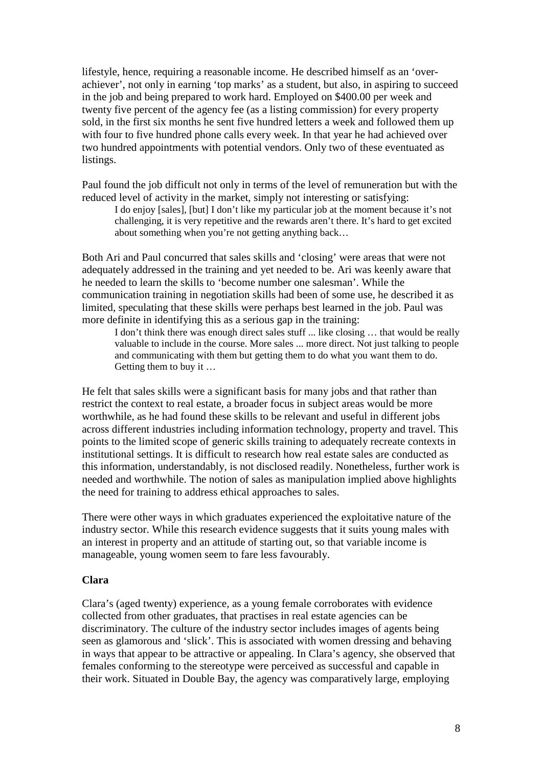lifestyle, hence, requiring a reasonable income. He described himself as an 'overachiever', not only in earning 'top marks' as a student, but also, in aspiring to succeed in the job and being prepared to work hard. Employed on \$400.00 per week and twenty five percent of the agency fee (as a listing commission) for every property sold, in the first six months he sent five hundred letters a week and followed them up with four to five hundred phone calls every week. In that year he had achieved over two hundred appointments with potential vendors. Only two of these eventuated as listings.

Paul found the job difficult not only in terms of the level of remuneration but with the reduced level of activity in the market, simply not interesting or satisfying:

I do enjoy [sales], [but] I don't like my particular job at the moment because it's not challenging, it is very repetitive and the rewards aren't there. It's hard to get excited about something when you're not getting anything back…

Both Ari and Paul concurred that sales skills and 'closing' were areas that were not adequately addressed in the training and yet needed to be. Ari was keenly aware that he needed to learn the skills to 'become number one salesman'. While the communication training in negotiation skills had been of some use, he described it as limited, speculating that these skills were perhaps best learned in the job. Paul was more definite in identifying this as a serious gap in the training:

I don't think there was enough direct sales stuff ... like closing … that would be really valuable to include in the course. More sales ... more direct. Not just talking to people and communicating with them but getting them to do what you want them to do. Getting them to buy it …

He felt that sales skills were a significant basis for many jobs and that rather than restrict the context to real estate, a broader focus in subject areas would be more worthwhile, as he had found these skills to be relevant and useful in different jobs across different industries including information technology, property and travel. This points to the limited scope of generic skills training to adequately recreate contexts in institutional settings. It is difficult to research how real estate sales are conducted as this information, understandably, is not disclosed readily. Nonetheless, further work is needed and worthwhile. The notion of sales as manipulation implied above highlights the need for training to address ethical approaches to sales.

There were other ways in which graduates experienced the exploitative nature of the industry sector. While this research evidence suggests that it suits young males with an interest in property and an attitude of starting out, so that variable income is manageable, young women seem to fare less favourably.

### **Clara**

Clara's (aged twenty) experience, as a young female corroborates with evidence collected from other graduates, that practises in real estate agencies can be discriminatory. The culture of the industry sector includes images of agents being seen as glamorous and 'slick'. This is associated with women dressing and behaving in ways that appear to be attractive or appealing. In Clara's agency, she observed that females conforming to the stereotype were perceived as successful and capable in their work. Situated in Double Bay, the agency was comparatively large, employing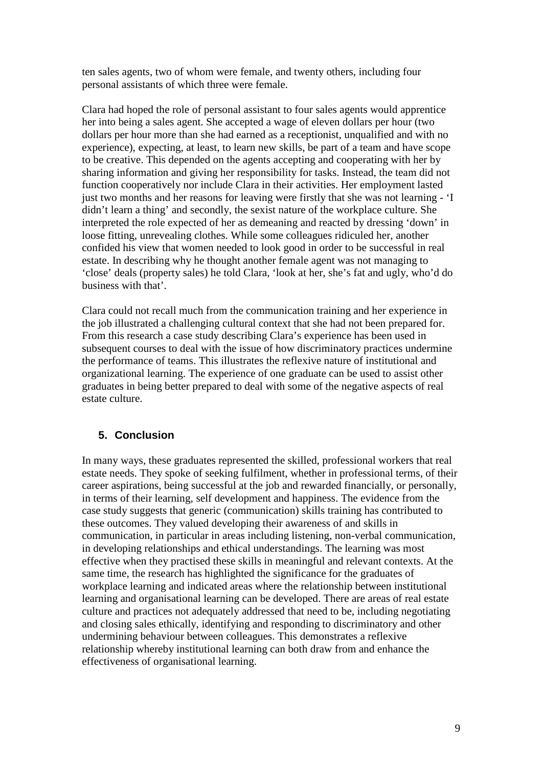ten sales agents, two of whom were female, and twenty others, including four personal assistants of which three were female.

Clara had hoped the role of personal assistant to four sales agents would apprentice her into being a sales agent. She accepted a wage of eleven dollars per hour (two dollars per hour more than she had earned as a receptionist, unqualified and with no experience), expecting, at least, to learn new skills, be part of a team and have scope to be creative. This depended on the agents accepting and cooperating with her by sharing information and giving her responsibility for tasks. Instead, the team did not function cooperatively nor include Clara in their activities. Her employment lasted just two months and her reasons for leaving were firstly that she was not learning - 'I didn't learn a thing' and secondly, the sexist nature of the workplace culture. She interpreted the role expected of her as demeaning and reacted by dressing 'down' in loose fitting, unrevealing clothes. While some colleagues ridiculed her, another confided his view that women needed to look good in order to be successful in real estate. In describing why he thought another female agent was not managing to 'close' deals (property sales) he told Clara, 'look at her, she's fat and ugly, who'd do business with that'.

Clara could not recall much from the communication training and her experience in the job illustrated a challenging cultural context that she had not been prepared for. From this research a case study describing Clara's experience has been used in subsequent courses to deal with the issue of how discriminatory practices undermine the performance of teams. This illustrates the reflexive nature of institutional and organizational learning. The experience of one graduate can be used to assist other graduates in being better prepared to deal with some of the negative aspects of real estate culture.

## **5. Conclusion**

In many ways, these graduates represented the skilled, professional workers that real estate needs. They spoke of seeking fulfilment, whether in professional terms, of their career aspirations, being successful at the job and rewarded financially, or personally, in terms of their learning, self development and happiness. The evidence from the case study suggests that generic (communication) skills training has contributed to these outcomes. They valued developing their awareness of and skills in communication, in particular in areas including listening, non-verbal communication, in developing relationships and ethical understandings. The learning was most effective when they practised these skills in meaningful and relevant contexts. At the same time, the research has highlighted the significance for the graduates of workplace learning and indicated areas where the relationship between institutional learning and organisational learning can be developed. There are areas of real estate culture and practices not adequately addressed that need to be, including negotiating and closing sales ethically, identifying and responding to discriminatory and other undermining behaviour between colleagues. This demonstrates a reflexive relationship whereby institutional learning can both draw from and enhance the effectiveness of organisational learning.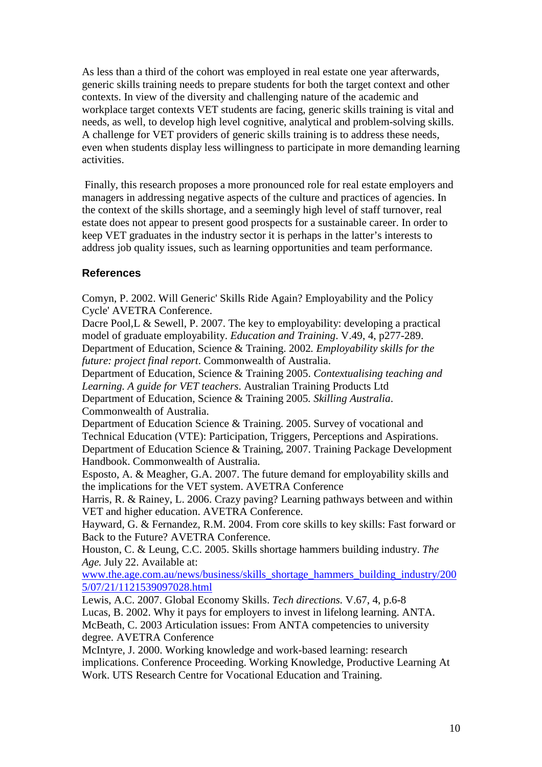As less than a third of the cohort was employed in real estate one year afterwards, generic skills training needs to prepare students for both the target context and other contexts. In view of the diversity and challenging nature of the academic and workplace target contexts VET students are facing, generic skills training is vital and needs, as well, to develop high level cognitive, analytical and problem-solving skills. A challenge for VET providers of generic skills training is to address these needs, even when students display less willingness to participate in more demanding learning activities.

 Finally, this research proposes a more pronounced role for real estate employers and managers in addressing negative aspects of the culture and practices of agencies. In the context of the skills shortage, and a seemingly high level of staff turnover, real estate does not appear to present good prospects for a sustainable career. In order to keep VET graduates in the industry sector it is perhaps in the latter's interests to address job quality issues, such as learning opportunities and team performance.

## **References**

Comyn, P. 2002. Will Generic' Skills Ride Again? Employability and the Policy Cycle' AVETRA Conference.

Dacre Pool, L & Sewell, P. 2007. The key to employability: developing a practical model of graduate employability. *Education and Training*. V.49, 4, p277-289. Department of Education, Science & Training. 2002*. Employability skills for the future: project final report*. Commonwealth of Australia.

Department of Education, Science & Training 2005. *Contextualising teaching and Learning. A guide for VET teachers*. Australian Training Products Ltd Department of Education, Science & Training 2005*. Skilling Australia*.

Commonwealth of Australia.

Department of Education Science & Training. 2005. Survey of vocational and Technical Education (VTE): Participation, Triggers, Perceptions and Aspirations. Department of Education Science & Training, 2007. Training Package Development Handbook. Commonwealth of Australia.

Esposto, A. & Meagher, G.A. 2007. The future demand for employability skills and the implications for the VET system. AVETRA Conference

Harris, R. & Rainey, L. 2006. Crazy paving? Learning pathways between and within VET and higher education. AVETRA Conference.

Hayward, G. & Fernandez, R.M. 2004. From core skills to key skills: Fast forward or Back to the Future? AVETRA Conference.

Houston, C. & Leung, C.C. 2005. Skills shortage hammers building industry. *The Age.* July 22. Available at:

www.the.age.com.au/news/business/skills\_shortage\_hammers\_building\_industry/200 5/07/21/1121539097028.html

Lewis, A.C. 2007. Global Economy Skills. *Tech directions.* V.67, 4, p.6-8 Lucas, B. 2002. Why it pays for employers to invest in lifelong learning. ANTA. McBeath, C. 2003 Articulation issues: From ANTA competencies to university degree. AVETRA Conference

McIntyre, J. 2000. Working knowledge and work-based learning: research implications. Conference Proceeding. Working Knowledge, Productive Learning At Work. UTS Research Centre for Vocational Education and Training.